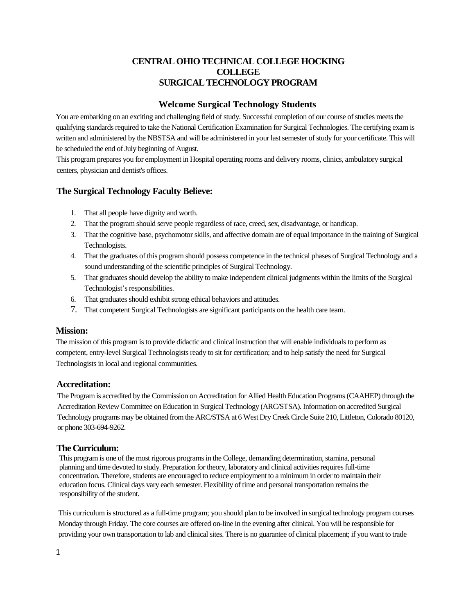# **CENTRAL OHIO TECHNICAL COLLEGE HOCKING COLLEGE SURGICAL TECHNOLOGY PROGRAM**

# **Welcome Surgical Technology Students**

You are embarking on an exciting and challenging field of study. Successful completion of our course of studies meets the qualifying standards required to take the National Certification Examination for Surgical Technologies. The certifying exam is written and administered by the NBSTSA and will be administered in your last semester of study for your certificate. This will be scheduled the end of July beginning of August.

This program prepares you for employment in Hospital operating rooms and delivery rooms, clinics, ambulatory surgical centers, physician and dentist's offices.

# **The Surgical Technology Faculty Believe:**

- 1. That all people have dignity and worth.
- 2. That the program should serve people regardless of race, creed, sex, disadvantage, or handicap.
- 3. That the cognitive base, psychomotor skills, and affective domain are of equal importance in the training of Surgical Technologists.
- 4. That the graduates of this program should possess competence in the technical phases of Surgical Technology and a sound understanding of the scientific principles of Surgical Technology.
- 5. That graduates should develop the ability to make independent clinical judgments within the limits of the Surgical Technologist's responsibilities.
- 6. That graduates should exhibit strong ethical behaviors and attitudes.
- 7. That competent Surgical Technologists are significant participants on the health care team.

# **Mission:**

The mission of this program is to provide didactic and clinical instruction that will enable individuals to perform as competent, entry-level Surgical Technologists ready to sit for certification; and to help satisfy the need for Surgical Technologists in local and regional communities.

# **Accreditation:**

The Program is accredited by the Commission on Accreditation for Allied Health Education Programs (CAAHEP) through the Accreditation Review Committee on Education in Surgical Technology (ARC/STSA). Information on accredited Surgical Technology programs may be obtained from the ARC/STSA at 6 West Dry Creek Circle Suite 210, Littleton, Colorado 80120, or phone 303-694-9262.

# **The Curriculum:**

This program is one of the most rigorous programs in the College, demanding determination, stamina, personal planning and time devoted to study. Preparation for theory, laboratory and clinical activities requires full-time concentration. Therefore, students are encouraged to reduce employment to a minimum in order to maintain their education focus. Clinical days vary each semester. Flexibility of time and personal transportation remains the responsibility of the student.

This curriculum is structured as a full-time program; you should plan to be involved in surgical technology program courses Monday through Friday. The core courses are offered on-line in the evening after clinical. You will be responsible for providing your own transportation to lab and clinical sites. There is no guarantee of clinical placement; if you want to trade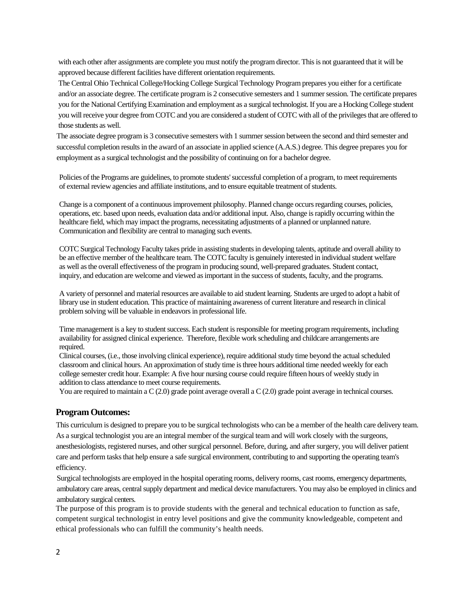with each other after assignments are complete you must notify the program director. This is not guaranteed that it will be approved because different facilities have different orientation requirements.

The Central Ohio Technical College/Hocking College Surgical Technology Program prepares you either for a certificate and/or an associate degree. The certificate program is 2 consecutive semesters and 1 summer session. The certificate prepares you for the National Certifying Examination and employment as a surgical technologist. If you are a Hocking College student you will receive your degree from COTC and you are considered a student of COTC with all of the privileges that are offered to those students as well.

The associate degree program is 3 consecutive semesters with 1 summer session between the second and third semester and successful completion results in the award of an associate in applied science (A.A.S.) degree. This degree prepares you for employment as a surgical technologist and the possibility of continuing on for a bachelor degree.

Policies of the Programs are guidelines, to promote students' successful completion of a program, to meet requirements of external review agencies and affiliate institutions, and to ensure equitable treatment of students.

Change is a component of a continuous improvement philosophy. Planned change occurs regarding courses, policies, operations, etc. based upon needs, evaluation data and/or additional input. Also, change is rapidly occurring within the healthcare field, which may impact the programs, necessitating adjustments of a planned or unplanned nature. Communication and flexibility are central to managing such events.

COTC Surgical Technology Faculty takes pride in assisting students in developing talents, aptitude and overall ability to be an effective member of the healthcare team. The COTC faculty is genuinely interested in individual student welfare as well as the overall effectiveness of the program in producing sound, well-prepared graduates. Student contact, inquiry, and education are welcome and viewed as important in the success of students, faculty, and the programs.

A variety of personnel and material resources are available to aid student learning. Students are urged to adopt a habit of library use in student education. This practice of maintaining awareness of current literature and research in clinical problem solving will be valuable in endeavors in professional life.

Time management is a key to student success. Each student is responsible for meeting program requirements, including availability for assigned clinical experience. Therefore, flexible work scheduling and childcare arrangements are required.

Clinical courses, (i.e., those involving clinical experience), require additional study time beyond the actual scheduled classroom and clinical hours. An approximation of study time isthree hours additional time needed weekly for each college semester credit hour. Example: A five hour nursing course could require fifteen hours of weekly study in addition to class attendance to meet course requirements.

You are required to maintain a C (2.0) grade point average overall a C (2.0) grade point average in technical courses.

#### **Program Outcomes:**

This curriculum is designed to prepare you to be surgical technologists who can be a member of the health care delivery team. As a surgical technologist you are an integral member of the surgical team and will work closely with the surgeons, anesthesiologists, registered nurses, and other surgical personnel. Before, during, and after surgery, you will deliver patient care and perform tasks that help ensure a safe surgical environment, contributing to and supporting the operating team's efficiency.

Surgical technologists are employed in the hospital operating rooms, delivery rooms, cast rooms, emergency departments, ambulatory care areas, central supply department and medical device manufacturers. You may also be employed in clinics and ambulatory surgical centers.

The purpose of this program is to provide students with the general and technical education to function as safe, competent surgical technologist in entry level positions and give the community knowledgeable, competent and ethical professionals who can fulfill the community's health needs.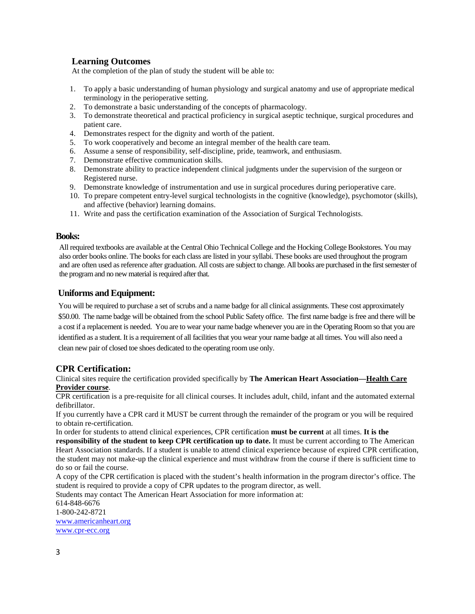# **Learning Outcomes**

At the completion of the plan of study the student will be able to:

- 1. To apply a basic understanding of human physiology and surgical anatomy and use of appropriate medical terminology in the perioperative setting.
- 2. To demonstrate a basic understanding of the concepts of pharmacology.
- 3. To demonstrate theoretical and practical proficiency in surgical aseptic technique, surgical procedures and patient care.
- 4. Demonstrates respect for the dignity and worth of the patient.
- 5. To work cooperatively and become an integral member of the health care team.
- 6. Assume a sense of responsibility, self-discipline, pride, teamwork, and enthusiasm.
- 7. Demonstrate effective communication skills.
- 8. Demonstrate ability to practice independent clinical judgments under the supervision of the surgeon or Registered nurse.
- 9. Demonstrate knowledge of instrumentation and use in surgical procedures during perioperative care.
- 10. To prepare competent entry-level surgical technologists in the cognitive (knowledge), psychomotor (skills), and affective (behavior) learning domains.
- 11. Write and pass the certification examination of the Association of Surgical Technologists.

### **Books:**

All required textbooks are available at the Central Ohio Technical College and the Hocking College Bookstores. You may also order books online. The books for each class are listed in your syllabi. These books are used throughout the program and are often used as reference after graduation. All costs are subject to change. All books are purchased in the first semester of the program and no new material is required after that.

### **Uniforms and Equipment:**

You will be required to purchase a set of scrubs and a name badge for all clinical assignments. These cost approximately \$50.00. The name badge will be obtained from the school Public Safety office. The first name badge is free and there will be a cost if a replacement is needed. You are to wear your name badge whenever you are in the Operating Room so that you are identified as a student. It is a requirement of all facilities that you wear your name badge at all times. You will also need a clean new pair of closed toe shoes dedicated to the operating room use only.

# **CPR Certification:**

Clinical sites require the certification provided specifically by **The American Heart Association—Health Care Provider course**.

CPR certification is a pre-requisite for all clinical courses. It includes adult, child, infant and the automated external defibrillator.

If you currently have a CPR card it MUST be current through the remainder of the program or you will be required to obtain re-certification.

In order for students to attend clinical experiences, CPR certification **must be current** at all times. **It is the responsibility of the student to keep CPR certification up to date.** It must be current according to The American Heart Association standards. If a student is unable to attend clinical experience because of expired CPR certification, the student may not make-up the clinical experience and must withdraw from the course if there is sufficient time to do so or fail the course.

A copy of the CPR certification is placed with the student's health information in the program director's office. The student is required to provide a copy of CPR updates to the program director, as well.

Students may contact The American Heart Association for more information at:

614-848-6676 1-800-242-8721 [www.americanheart.org](http://www.americanheart.org/)  [www.cpr-ecc.org](http://www.cpr-ecc.org/)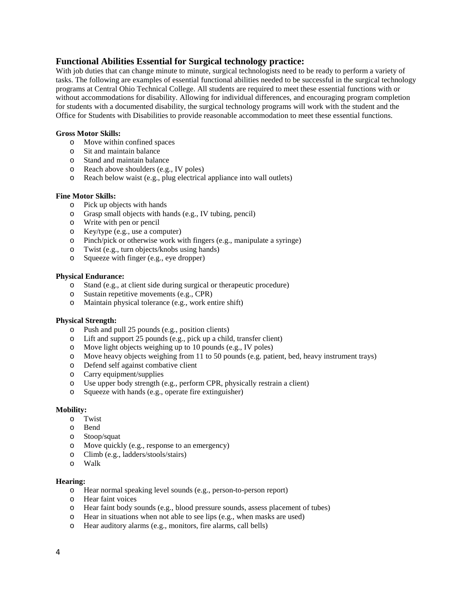### **Functional Abilities Essential for Surgical technology practice:**

With job duties that can change minute to minute, surgical technologists need to be ready to perform a variety of tasks. The following are examples of essential functional abilities needed to be successful in the surgical technology programs at Central Ohio Technical College. All students are required to meet these essential functions with or without accommodations for disability. Allowing for individual differences, and encouraging program completion for students with a documented disability, the surgical technology programs will work with the student and the Office for Students with Disabilities to provide reasonable accommodation to meet these essential functions.

#### **Gross Motor Skills:**

- o Move within confined spaces
- o Sit and maintain balance
- o Stand and maintain balance
- o Reach above shoulders (e.g., IV poles)
- o Reach below waist (e.g., plug electrical appliance into wall outlets)

#### **Fine Motor Skills:**

- o Pick up objects with hands
- o Grasp small objects with hands (e.g., IV tubing, pencil)
- o Write with pen or pencil
- o Key/type (e.g., use a computer)
- o Pinch/pick or otherwise work with fingers (e.g., manipulate a syringe)
- o Twist (e.g., turn objects/knobs using hands)
- o Squeeze with finger (e.g., eye dropper)

#### **Physical Endurance:**

- o Stand (e.g., at client side during surgical or therapeutic procedure)
- o Sustain repetitive movements (e.g., CPR)
- o Maintain physical tolerance (e.g., work entire shift)

#### **Physical Strength:**

- o Push and pull 25 pounds (e.g., position clients)
- o Lift and support 25 pounds (e.g., pick up a child, transfer client)
- o Move light objects weighing up to 10 pounds (e.g., IV poles)
- o Move heavy objects weighing from 11 to 50 pounds (e.g. patient, bed, heavy instrument trays)
- o Defend self against combative client
- o Carry equipment/supplies
- o Use upper body strength (e.g., perform CPR, physically restrain a client)
- o Squeeze with hands (e.g., operate fire extinguisher)

#### **Mobility:**

- o Twist
- o Bend
- o Stoop/squat
- o Move quickly (e.g., response to an emergency)
- o Climb (e.g., ladders/stools/stairs)
- Walk

#### **Hearing:**

- o Hear normal speaking level sounds (e.g., person-to-person report)
- o Hear faint voices
- o Hear faint body sounds (e.g., blood pressure sounds, assess placement of tubes)
- o Hear in situations when not able to see lips (e.g., when masks are used)
- o Hear auditory alarms (e.g., monitors, fire alarms, call bells)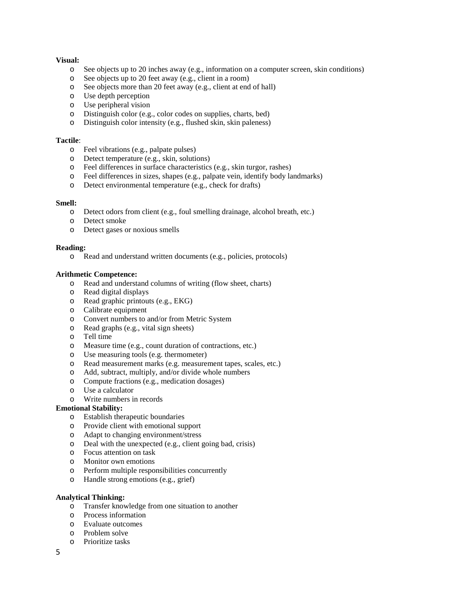### **Visual:**

- o See objects up to 20 inches away (e.g., information on a computer screen, skin conditions)
- o See objects up to 20 feet away (e.g., client in a room)
- o See objects more than 20 feet away (e.g., client at end of hall)
- o Use depth perception
- o Use peripheral vision
- o Distinguish color (e.g., color codes on supplies, charts, bed)<br>  $\Omega$  Distinguish color intensity (e.g. flushed skin, skin paleness)
- Distinguish color intensity (e.g., flushed skin, skin paleness)

#### **Tactile**:

- o Feel vibrations (e.g., palpate pulses)
- o Detect temperature (e.g., skin, solutions)
- o Feel differences in surface characteristics (e.g., skin turgor, rashes)<br>
o Feel differences in sizes, shapes (e.g., palpate vein, identify body la
- Feel differences in sizes, shapes (e.g., palpate vein, identify body landmarks)
- o Detect environmental temperature (e.g., check for drafts)

#### **Smell:**

- o Detect odors from client (e.g., foul smelling drainage, alcohol breath, etc.)
- Detect smoke
- o Detect gases or noxious smells

### **Reading:**

o Read and understand written documents (e.g., policies, protocols)

### **Arithmetic Competence:**

- o Read and understand columns of writing (flow sheet, charts)
- o Read digital displays
- o Read graphic printouts (e.g., EKG)
- o Calibrate equipment
- o Convert numbers to and/or from Metric System
- o Read graphs (e.g., vital sign sheets)
- o Tell time
- o Measure time (e.g., count duration of contractions, etc.)
- o Use measuring tools (e.g. thermometer)
- o Read measurement marks (e.g. measurement tapes, scales, etc.)
- o Add, subtract, multiply, and/or divide whole numbers
- o Compute fractions (e.g., medication dosages)
- o Use a calculator
- o Write numbers in records

#### **Emotional Stability:**

- o Establish therapeutic boundaries
- o Provide client with emotional support
- o Adapt to changing environment/stress
- o Deal with the unexpected (e.g., client going bad, crisis)
- o Focus attention on task
- o Monitor own emotions
- o Perform multiple responsibilities concurrently
- o Handle strong emotions (e.g., grief)

#### **Analytical Thinking:**

- o Transfer knowledge from one situation to another
- o Process information
- Evaluate outcomes
- o Problem solve
- Prioritize tasks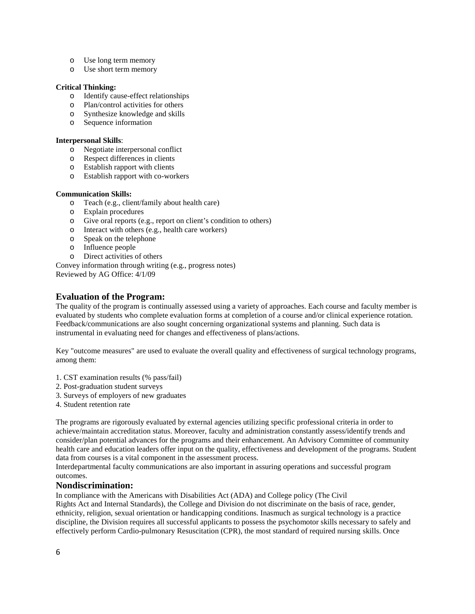- o Use long term memory
- o Use short term memory

### **Critical Thinking:**

- o Identify cause-effect relationships
- o Plan/control activities for others
- o Synthesize knowledge and skills
- o Sequence information

#### **Interpersonal Skills**:

- o Negotiate interpersonal conflict
- o Respect differences in clients
- o Establish rapport with clients
- o Establish rapport with co-workers

### **Communication Skills:**

- o Teach (e.g., client/family about health care)
- o Explain procedures
- o Give oral reports (e.g., report on client's condition to others)
- o Interact with others (e.g., health care workers)
- o Speak on the telephone
- Influence people
- o Direct activities of others

Convey information through writing (e.g., progress notes) Reviewed by AG Office: 4/1/09

# **Evaluation of the Program:**

The quality of the program is continually assessed using a variety of approaches. Each course and faculty member is evaluated by students who complete evaluation forms at completion of a course and/or clinical experience rotation. Feedback/communications are also sought concerning organizational systems and planning. Such data is instrumental in evaluating need for changes and effectiveness of plans/actions.

Key "outcome measures" are used to evaluate the overall quality and effectiveness of surgical technology programs, among them:

- 1. CST examination results (% pass/fail)
- 2. Post-graduation student surveys
- 3. Surveys of employers of new graduates
- 4. Student retention rate

The programs are rigorously evaluated by external agencies utilizing specific professional criteria in order to achieve/maintain accreditation status. Moreover, faculty and administration constantly assess/identify trends and consider/plan potential advances for the programs and their enhancement. An Advisory Committee of community health care and education leaders offer input on the quality, effectiveness and development of the programs. Student data from courses is a vital component in the assessment process.

Interdepartmental faculty communications are also important in assuring operations and successful program outcomes.

### **Nondiscrimination:**

In compliance with the Americans with Disabilities Act (ADA) and College policy (The Civil

Rights Act and Internal Standards), the College and Division do not discriminate on the basis of race, gender, ethnicity, religion, sexual orientation or handicapping conditions. Inasmuch as surgical technology is a practice discipline, the Division requires all successful applicants to possess the psychomotor skills necessary to safely and effectively perform Cardio-pulmonary Resuscitation (CPR), the most standard of required nursing skills. Once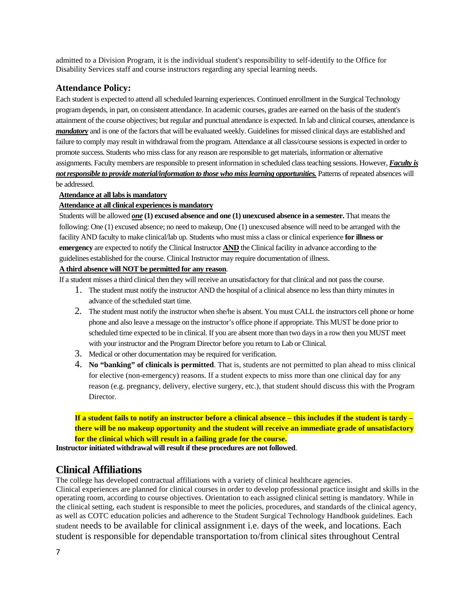admitted to a Division Program, it is the individual student's responsibility to self-identify to the Office for Disability Services staff and course instructors regarding any special learning needs.

### **Attendance Policy:**

Each student is expected to attend all scheduled learning experiences. Continued enrollment in the Surgical Technology program depends, in part, on consistent attendance. In academic courses, grades are earned on the basis of the student's attainment of the course objectives; but regular and punctual attendance is expected. In lab and clinical courses, attendance is *mandatory* and is one of the factors that will be evaluated weekly. Guidelines for missed clinical days are established and failure to comply may result in withdrawal from the program. Attendance at all class/course sessions is expected in order to promote success. Students who miss class for any reason are responsible to get materials, information or alternative assignments. Faculty members are responsible to present information in scheduled class teaching sessions. However, *Faculty is not responsible to provide material/information to those who miss learning opportunities.* Patterns of repeated absences will be addressed.

### **Attendance at all labs is mandatory**

### **Attendance at all clinical experiences is mandatory**

Students will be allowed *one* **(1) excused absence and one (1) unexcused absence in a semester.** That means the following: One (1) excused absence; no need to makeup, One (1) unexcused absence will need to be arranged with the facility AND faculty to make clinical/lab up. Students who must miss a class or clinical experience **for illness or emergency** are expected to notify the Clinical Instructor **AND** the Clinical facility in advance according to the guidelines established for the course. Clinical Instructor may require documentation of illness.

## **A third absence will NOT be permitted for any reason**.

If a student misses a third clinical then they will receive an unsatisfactory for that clinical and not pass the course.

- 1. The student must notify the instructor AND the hospital of a clinical absence no less than thirty minutes in advance of the scheduled start time.
- 2. The student must notify the instructor when she/he is absent. You must CALL the instructors cell phone or home phone and also leave a message on the instructor's office phone if appropriate. This MUST be done prior to scheduled time expected to be in clinical. If you are absent more than two days in a row then you MUST meet with your instructor and the Program Director before you return to Lab or Clinical.
- 3. Medical or other documentation may be required for verification.
- 4. **No "banking" of clinicals is permitted**. That is, students are not permitted to plan ahead to miss clinical for elective (non-emergency) reasons. If a student expects to miss more than one clinical day for any reason (e.g. pregnancy, delivery, elective surgery, etc.), that student should discuss this with the Program Director.

**If a student fails to notify an instructor before a clinical absence – this includes if the student is tardy – there will be no makeup opportunity and the student will receive an immediate grade of unsatisfactory for the clinical which will result in a failing grade for the course.**

**Instructor initiated withdrawal will result if these procedures are not followed**.

# **Clinical Affiliations**

The college has developed contractual affiliations with a variety of clinical healthcare agencies.

Clinical experiences are planned for clinical courses in order to develop professional practice insight and skills in the operating room, according to course objectives. Orientation to each assigned clinical setting is mandatory. While in the clinical setting, each student is responsible to meet the policies, procedures, and standards of the clinical agency, as well as COTC education policies and adherence to the Student Surgical Technology Handbook guidelines. Each student needs to be available for clinical assignment i.e. days of the week, and locations. Each student is responsible for dependable transportation to/from clinical sites throughout Central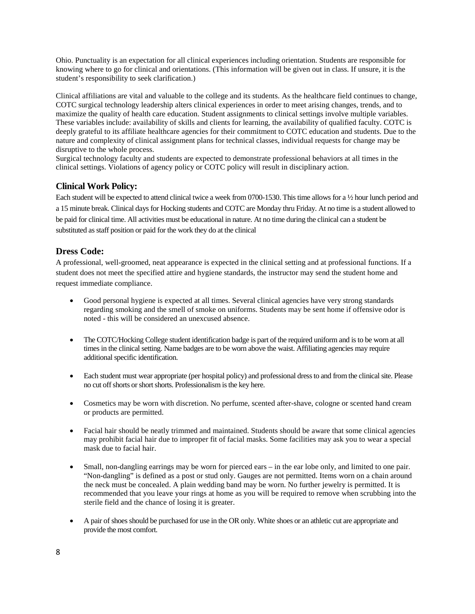Ohio. Punctuality is an expectation for all clinical experiences including orientation. Students are responsible for knowing where to go for clinical and orientations. (This information will be given out in class. If unsure, it is the student's responsibility to seek clarification.)

Clinical affiliations are vital and valuable to the college and its students. As the healthcare field continues to change, COTC surgical technology leadership alters clinical experiences in order to meet arising changes, trends, and to maximize the quality of health care education. Student assignments to clinical settings involve multiple variables. These variables include: availability of skills and clients for learning, the availability of qualified faculty. COTC is deeply grateful to its affiliate healthcare agencies for their commitment to COTC education and students. Due to the nature and complexity of clinical assignment plans for technical classes, individual requests for change may be disruptive to the whole process.

Surgical technology faculty and students are expected to demonstrate professional behaviors at all times in the clinical settings. Violations of agency policy or COTC policy will result in disciplinary action.

# **Clinical Work Policy:**

Each student will be expected to attend clinical twice a week from 0700-1530. This time allows for a ½ hour lunch period and a 15 minute break. Clinical days for Hocking students and COTC are Monday thru Friday. At no time is a student allowed to be paid for clinical time. All activities must be educational in nature. At no time during the clinical can a student be substituted as staff position or paid for the work they do at the clinical

# **Dress Code:**

A professional, well-groomed, neat appearance is expected in the clinical setting and at professional functions. If a student does not meet the specified attire and hygiene standards, the instructor may send the student home and request immediate compliance.

- Good personal hygiene is expected at all times. Several clinical agencies have very strong standards regarding smoking and the smell of smoke on uniforms. Students may be sent home if offensive odor is noted - this will be considered an unexcused absence.
- The COTC/Hocking College student identification badge is part of the required uniform and is to be worn at all times in the clinical setting. Name badges are to be worn above the waist. Affiliating agencies may require additional specific identification.
- Each student must wear appropriate (per hospital policy) and professional dress to and from the clinical site. Please no cut off shorts or short shorts. Professionalism is the key here.
- Cosmetics may be worn with discretion. No perfume, scented after-shave, cologne or scented hand cream or products are permitted.
- Facial hair should be neatly trimmed and maintained. Students should be aware that some clinical agencies may prohibit facial hair due to improper fit of facial masks. Some facilities may ask you to wear a special mask due to facial hair.
- Small, non-dangling earrings may be worn for pierced ears in the ear lobe only, and limited to one pair. "Non-dangling" is defined as a post or stud only. Gauges are not permitted. Items worn on a chain around the neck must be concealed. A plain wedding band may be worn. No further jewelry is permitted. It is recommended that you leave your rings at home as you will be required to remove when scrubbing into the sterile field and the chance of losing it is greater.
- A pair of shoes should be purchased for use in the OR only. White shoes or an athletic cut are appropriate and provide the most comfort.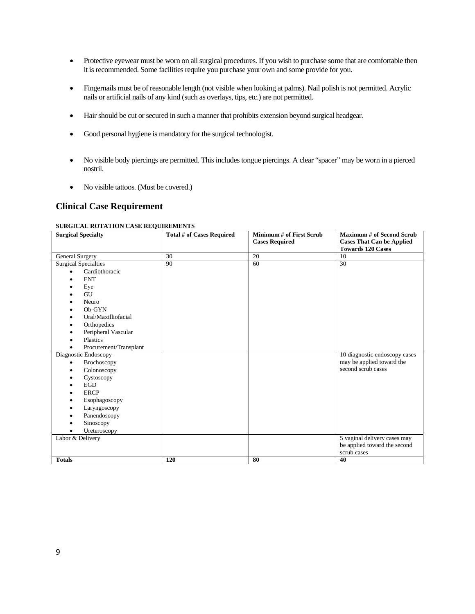- Protective eyewear must be worn on all surgical procedures. If you wish to purchase some that are comfortable then it is recommended. Some facilities require you purchase your own and some provide for you.
- Fingernails must be of reasonable length (not visible when looking at palms). Nail polish is not permitted. Acrylic nails or artificial nails of any kind (such as overlays, tips, etc.) are not permitted.
- Hair should be cut or secured in such a manner that prohibits extension beyond surgical headgear.
- Good personal hygiene is mandatory for the surgical technologist.
- No visible body piercings are permitted. This includes tongue piercings. A clear "spacer" may be worn in a pierced nostril.
- No visible tattoos. (Must be covered.)

# **Clinical Case Requirement**

#### **SURGICAL ROTATION CASE REQUIREMENTS**

| <b>Surgical Specialty</b>   | Total # of Cases Required | <b>Minimum # of First Scrub</b><br><b>Cases Required</b> | <b>Maximum # of Second Scrub</b><br><b>Cases That Can be Applied</b> |
|-----------------------------|---------------------------|----------------------------------------------------------|----------------------------------------------------------------------|
|                             |                           |                                                          | <b>Towards 120 Cases</b>                                             |
| <b>General Surgery</b>      | 30                        | 20                                                       | 10                                                                   |
| <b>Surgical Specialties</b> | 90                        | 60                                                       | 30                                                                   |
| Cardiothoracic              |                           |                                                          |                                                                      |
| <b>ENT</b>                  |                           |                                                          |                                                                      |
| Eye                         |                           |                                                          |                                                                      |
| GU                          |                           |                                                          |                                                                      |
| Neuro                       |                           |                                                          |                                                                      |
| Ob-GYN                      |                           |                                                          |                                                                      |
| Oral/Maxilliofacial         |                           |                                                          |                                                                      |
| Orthopedics                 |                           |                                                          |                                                                      |
| Peripheral Vascular         |                           |                                                          |                                                                      |
| Plastics                    |                           |                                                          |                                                                      |
| Procurement/Transplant      |                           |                                                          |                                                                      |
| Diagnostic Endoscopy        |                           |                                                          | 10 diagnostic endoscopy cases                                        |
| Brochoscopy<br>$\bullet$    |                           |                                                          | may be applied toward the                                            |
| Colonoscopy                 |                           |                                                          | second scrub cases                                                   |
| Cystoscopy                  |                           |                                                          |                                                                      |
| <b>EGD</b>                  |                           |                                                          |                                                                      |
| <b>ERCP</b>                 |                           |                                                          |                                                                      |
| Esophagoscopy               |                           |                                                          |                                                                      |
| Laryngoscopy                |                           |                                                          |                                                                      |
| Panendoscopy                |                           |                                                          |                                                                      |
| Sinoscopy                   |                           |                                                          |                                                                      |
| Ureteroscopy                |                           |                                                          |                                                                      |
| Labor & Delivery            |                           |                                                          | 5 vaginal delivery cases may                                         |
|                             |                           |                                                          | be applied toward the second                                         |
|                             |                           |                                                          | scrub cases                                                          |
| <b>Totals</b>               | 120                       | 80                                                       | 40                                                                   |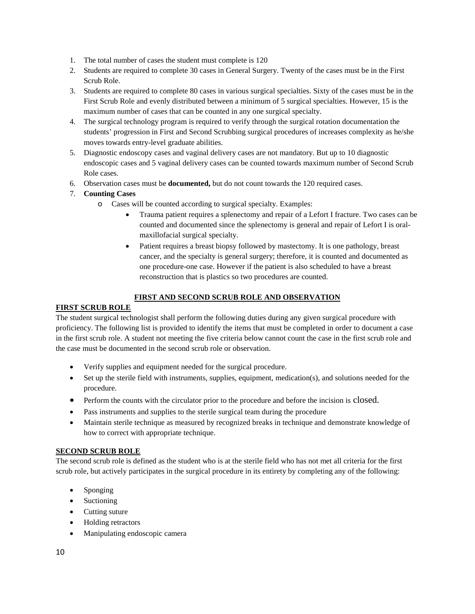- 1. The total number of cases the student must complete is 120
- 2. Students are required to complete 30 cases in General Surgery. Twenty of the cases must be in the First Scrub Role.
- 3. Students are required to complete 80 cases in various surgical specialties. Sixty of the cases must be in the First Scrub Role and evenly distributed between a minimum of 5 surgical specialties. However, 15 is the maximum number of cases that can be counted in any one surgical specialty.
- 4. The surgical technology program is required to verify through the surgical rotation documentation the students' progression in First and Second Scrubbing surgical procedures of increases complexity as he/she moves towards entry-level graduate abilities.
- 5. Diagnostic endoscopy cases and vaginal delivery cases are not mandatory. But up to 10 diagnostic endoscopic cases and 5 vaginal delivery cases can be counted towards maximum number of Second Scrub Role cases.
- 6. Observation cases must be **documented,** but do not count towards the 120 required cases.

# 7. **Counting Cases**

- o Cases will be counted according to surgical specialty. Examples:
	- Trauma patient requires a splenectomy and repair of a Lefort I fracture. Two cases can be counted and documented since the splenectomy is general and repair of Lefort I is oralmaxillofacial surgical specialty.
	- Patient requires a breast biopsy followed by mastectomy. It is one pathology, breast cancer, and the specialty is general surgery; therefore, it is counted and documented as one procedure-one case. However if the patient is also scheduled to have a breast reconstruction that is plastics so two procedures are counted.

# **FIRST AND SECOND SCRUB ROLE AND OBSERVATION**

# **FIRST SCRUB ROLE**

The student surgical technologist shall perform the following duties during any given surgical procedure with proficiency. The following list is provided to identify the items that must be completed in order to document a case in the first scrub role. A student not meeting the five criteria below cannot count the case in the first scrub role and the case must be documented in the second scrub role or observation.

- Verify supplies and equipment needed for the surgical procedure.
- Set up the sterile field with instruments, supplies, equipment, medication(s), and solutions needed for the procedure.
- Perform the counts with the circulator prior to the procedure and before the incision is closed.
- Pass instruments and supplies to the sterile surgical team during the procedure
- Maintain sterile technique as measured by recognized breaks in technique and demonstrate knowledge of how to correct with appropriate technique.

### **SECOND SCRUB ROLE**

The second scrub role is defined as the student who is at the sterile field who has not met all criteria for the first scrub role, but actively participates in the surgical procedure in its entirety by completing any of the following:

- Sponging
- Suctioning
- Cutting suture
- Holding retractors
- Manipulating endoscopic camera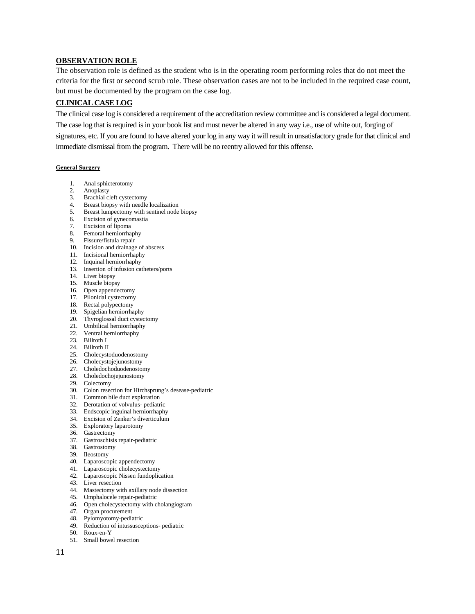### **OBSERVATION ROLE**

The observation role is defined as the student who is in the operating room performing roles that do not meet the criteria for the first or second scrub role. These observation cases are not to be included in the required case count, but must be documented by the program on the case log.

### **CLINICAL CASE LOG**

The clinical case log is considered a requirement of the accreditation review committee and is considered a legal document. The case log that is required is in your book list and must never be altered in any way i.e., use of white out, forging of signatures, etc. If you are found to have altered your log in any way it will result in unsatisfactory grade for that clinical and immediate dismissal from the program. There will be no reentry allowed for this offense.

#### **General Surgery**

- 1. Anal sphicterotomy
- 2. Anoplasty
- 3. Brachial cleft cystectomy
- 4. Breast biopsy with needle localization
- 5. Breast lumpectomy with sentinel node biopsy
- 6. Excision of gynecomastia
- 7. Excision of lipoma
- 8. Femoral herniorrhaphy
- 9. Fissure/fistula repair
- 10. Incision and drainage of abscess
- 11. Incisional herniorrhaphy
- 12. Inquinal herniorrhaphy
- 13. Insertion of infusion catheters/ports
- 14. Liver biopsy
- 15. Muscle biopsy
- 16. Open appendectomy
- 17. Pilonidal cystectomy
- 18. Rectal polypectomy
- 19. Spigelian herniorrhaphy
- 20. Thyroglossal duct cystectomy
- 21. Umbilical herniorrhaphy
- 22. Ventral herniorrhaphy
- 23. Billroth I
- 24. Billroth II
- 25. Cholecystoduodenostomy
- 26. Cholecystojejunostomy
- 27. Choledochoduodenostomy
- 28. Choledochojejunostomy
- 29. Colectomy
- 30. Colon resection for Hirchsprung's desease-pediatric
- 31. Common bile duct exploration
- 32. Derotation of volvulus- pediatric
- 33. Endscopic inguinal herniorrhaphy
- 34. Excision of Zenker's diverticulum
- 35. Exploratory laparotomy
- 36. Gastrectomy
- 37. Gastroschisis repair-pediatric
- 38. Gastrostomy
- 39. Ileostomy
- 40. Laparoscopic appendectomy
- 41. Laparoscopic cholecystectomy
- 42. Laparoscopic Nissen fundoplication
- 43. Liver resection
- 44. Mastectomy with axillary node dissection
- 45. Omphalocele repair-pediatric
- 46. Open cholecystectomy with cholangiogram
- 47. Organ procurement
- 48. Pylomyotomy-pediatric
- 49. Reduction of intussusceptions- pediatric
- 50. Roux-en-Y
- 51. Small bowel resection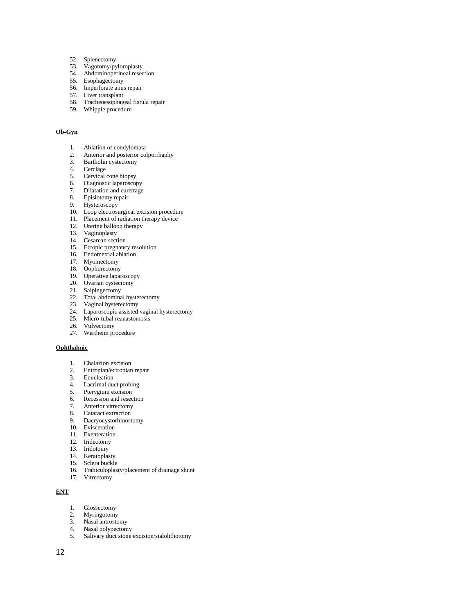- 52. Splenectomy
- 53. Vagotomy/pyloroplasty
- 54. Abdominoperineal resection
- 55. Esophagectomy
- 56. Imperforate anus repair
- 57. Liver transplant
- 58. Tracheoesophageal fistula repair
- 59. Whipple procedure

### **Ob-Gyn**

- 1. Ablation of condylomata
- 2. Anterior and posterior colporrhaphy<br>3. Bartholin cystectomy
- Bartholin cystectomy
- 4. Cerclage
- 5. Cervical cone biopsy
- 6. Diagnostic laparoscopy
- 7. Dilatation and curettage
- 8. Episiotomy repair
- 9. Hysteroscopy
- 10. Loop electrosurgical excision procedure
- 11. Placement of radiation therapy device
- 12. Uterine balloon therapy
- 13. Vaginoplasty
- 14. Cesarean section
- 15. Ectopic pregnancy resolution
- 16. Endometrial ablation
- 17. Myomectomy
- 18. Oophorectomy
- 19. Operative laparoscopy
- 20. Ovarian cystectomy
- 21. Salpingectomy
- 22. Total abdominal hysterectomy
- 23. Vaginal hysterectomy
- 24. Laparoscopic assisted vaginal hysterectomy
- 25. Micro-tubal reanastomosis<br>26. Vulvectomy
- Vulvectomy
- 27. Wertheim procedure

#### **Ophthalmic**

- 1. Chalazion excision
- 2. Entropian/ectropian repair
- 3. Enucleation<br>4. Lacrimal due
- Lacrimal duct probing
- 4. Lacriman duce process<br>5. Pterygium excision
- 6. Recession and resection
- 7. Anterior vitrectomy
- 8. Cataract extraction
- 9. Dacryocystorhinostomy
- 10. Evisceration
- 11. Exenteration
- 12. Iridectomy
- 13. Iridotomy
- 14. Keratoplasty
- 15. Sclera buckle
- 16. Trabiculoplasty/placement of drainage shunt
- 17. Vitrectomy

#### **ENT**

- 1. Glossectomy
- 2. Myringotomy<br>3. Nasal antrosto
- 3. Nasal antrostomy<br>4. Nasal polypectom
- 4. Nasal polypectomy<br>5. Salivary duct stone
- Salivary duct stone excision/sialolithotomy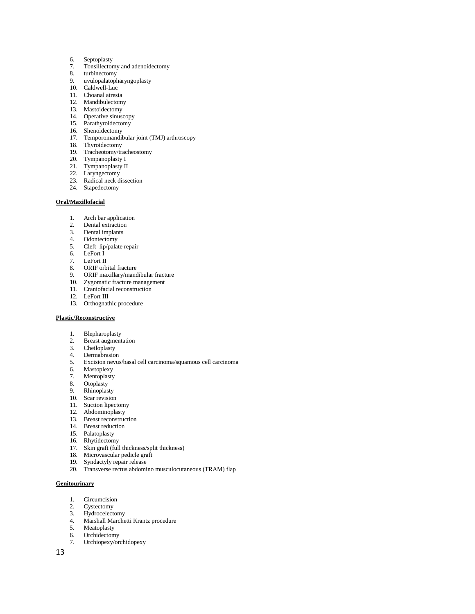- 6. Septoplasty
- 7. Tonsillectomy and adenoidectomy
- turbinectomy
- 9. uvulopalatopharyngoplasty
- 10. Caldwell-Luc
- 11. Choanal atresia
- 12. Mandibulectomy
- 13. Mastoidectomy
- 14. Operative sinuscopy
- 15. Parathyroidectomy
- 16. Shenoidectomy
- 17. Temporomandibular joint (TMJ) arthroscopy
- 18. Thyroidectomy
- 19. Tracheotomy/tracheostomy
- 20. Tympanoplasty I
- 21. Tympanoplasty II
- 22. Laryngectomy
- 23. Radical neck dissection
- 24. Stapedectomy

#### **Oral/Maxillofacial**

- 1. Arch bar application
- 2. Dental extraction<br>3. Dental implants
- Dental implants
- 4. Odontectomy
- 5. Cleft lip/palate repair
- 6. LeFort I
- 7. LeFort II
- 8. ORIF orbital fracture
- 9. ORIF maxillary/mandibular fracture
- 10. Zygomatic fracture management
- 11. Craniofacial reconstruction
- 12. LeFort III
- 13. Orthognathic procedure

#### **Plastic/Reconstructive**

- 1. Blepharoplasty
- 2. Breast augmentation<br>3. Cheiloplasty
- 3. Cheiloplasty<br>4. Dermabrasio
- Dermabrasion
- 5. Excision nevus/basal cell carcinoma/squamous cell carcinoma
- 6. Mastoplexy<br>7. Mentoplasty
- **Mentoplasty**
- 8. Otoplasty
- 9. Rhinoplasty
- 10. Scar revision
- 11. Suction lipectomy
- 12. Abdominoplasty
- 13. Breast reconstruction
- 14. Breast reduction
- 15. Palatoplasty
- 16. Rhytidectomy
- 17. Skin graft (full thickness/split thickness)
- 18. Microvascular pedicle graft
- 19. Syndactyly repair release
- 20. Transverse rectus abdomino musculocutaneous (TRAM) flap

#### **Genitourinary**

- 1. Circumcision
- 2. Cystectomy<br>3. Hydrocelecto
- 3. Hydrocelectomy<br>4. Marshall Marche
- 4. Marshall Marchetti Krantz procedure<br>5. Meatoplasty
- **Meatoplasty**
- 6. Orchidectomy 7. Orchiopexy/orchidopexy
- 13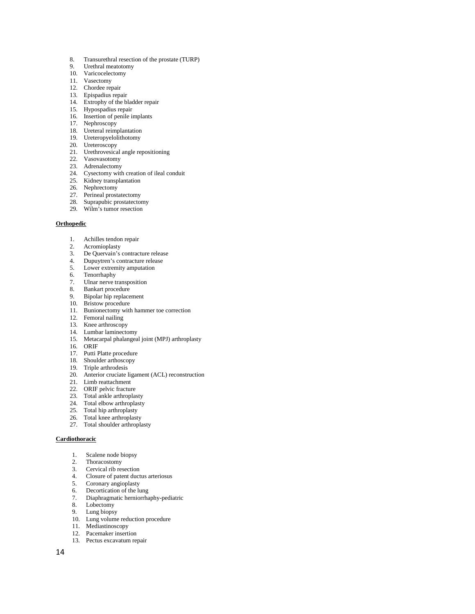- 8. Transurethral resection of the prostate (TURP)
- 9. Urethral meatotomy
- 10. Varicocelectomy
- 11. Vasectomy
- 12. Chordee repair
- 13. Epispadius repair
- 14. Extrophy of the bladder repair
- 15. Hypospadius repair
- 16. Insertion of penile implants
- 17. Nephroscopy
- 18. Ureteral reimplantation 19. Ureteropyelolithotomy
- 20. Ureteroscopy
- 
- 21. Urethrovesical angle repositioning
- 22. Vasovasotomy
- 23. Adrenalectomy
- 24. Cysectomy with creation of ileal conduit
- 25. Kidney transplantation
- 26. Nephrectomy
- 27. Perineal prostatectomy
- 28. Suprapubic prostatectomy
- 29. Wilm's tumor resection

#### **Orthopedic**

- 1. Achilles tendon repair<br>2. Acromioplasty
- Acromioplasty
- 3. De Quervain's contracture release<br>4. Dunuvtren's contracture release
- Dupuytren's contracture release
- 5. Lower extremity amputation<br>6. Tenorrhaphy
- Tenorrhaphy
- 7. Ulnar nerve transposition
- 8. Bankart procedure
- 9. Bipolar hip replacement
- 10. Bristow procedure
- 11. Bunionectomy with hammer toe correction
- 12. Femoral nailing
- 13. Knee arthroscopy
- 14. Lumbar laminectomy
- 15. Metacarpal phalangeal joint (MPJ) arthroplasty
- 16. ORIF
- 17. Putti Platte procedure
- 18. Shoulder arthoscopy
- 19. Triple arthrodesis
- 20. Anterior cruciate ligament (ACL) reconstruction
- 21. Limb reattachment
- 22. ORIF pelvic fracture
- 23. Total ankle arthroplasty
- 24. Total elbow arthroplasty
- 25. Total hip arthroplasty
- 26. Total knee arthroplasty
- 27. Total shoulder arthroplasty

#### **Cardiothoracic**

- 1. Scalene node biopsy
- 2. Thoracostomy
- 3. Cervical rib resection
- 4. Closure of patent ductus arteriosus
- 5. Coronary angioplasty
- 6. Decortication of the lung
- 7. Diaphragmatic herniorrhaphy-pediatric
- 8. Lobectomy
- 9. Lung biopsy
- 10. Lung volume reduction procedure
- 11. Mediastinoscopy
- 12. Pacemaker insertion
- 13. Pectus excavatum repair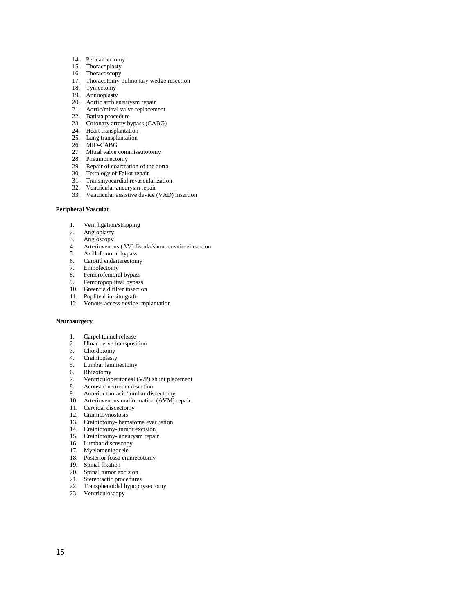- 14. Pericardectomy
- 15. Thoracoplasty
- 16. Thoracoscopy
- 17. Thoracotomy-pulmonary wedge resection
- 18. Tymectomy
- 19. Annuoplasty
- 20. Aortic arch aneurysm repair
- 21. Aortic/mitral valve replacement
- 22. Batista procedure
- 23. Coronary artery bypass (CABG)
- 24. Heart transplantation 25. Lung transplantation
- 
- 26. MID-CABG
- 27. Mitral valve commissutotomy
- 28. Pneumonectomy
- 29. Repair of coarctation of the aorta
- 30. Tetralogy of Fallot repair
- 31. Transmyocardial revascularization
- 32. Ventricular aneurysm repair
- 33. Ventricular assistive device (VAD) insertion

#### **Peripheral Vascular**

- 1. Vein ligation/stripping
- 2. Angioplasty<br>3. Angioscopy
- Angioscopy
- 4. Arteriovenous (AV) fistula/shunt creation/insertion
- 5. Axillofemoral bypass
- 6. Carotid endarterectomy
- 7. Embolectomy
- 8. Femorofemoral bypass
- 9. Femoropopliteal bypass
- 9. Fernandy prices  $z_f$  =
- 11. Popliteal in-situ graft
- 12. Venous access device implantation

#### **Neurosurgery**

- 1. Carpel tunnel release
- 2. Ulnar nerve transposition
- 3. Chordotomy
- 4. Crainioplasty
- 5. Lumbar laminectomy
- 6. Rhizotomy
- 7. Ventriculoperitoneal (V/P) shunt placement
- 8. Acoustic neuroma resection
- 9. Anterior thoracic/lumbar discectomy
- 10. Arteriovenous malformation (AVM) repair
- 11. Cervical discectomy
- 12. Crainiosynostosis
- 13. Crainiotomy- hematoma evacuation
- 14. Crainiotomy- tumor excision
- 15. Crainiotomy- aneurysm repair
- 16. Lumbar discoscopy
- 17. Myelomenigocele
- 18. Posterior fossa craniecotomy
- 19. Spinal fixation
- 20. Spinal tumor excision
- 21. Stereotactic procedures
- 22. Transphenoidal hypophysectomy
- 23. Ventriculoscopy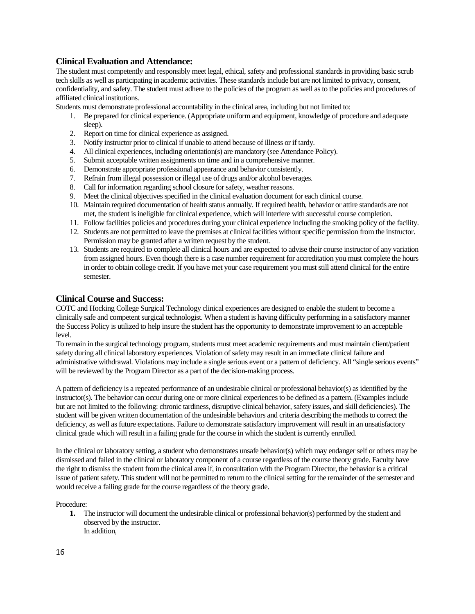# **Clinical Evaluation and Attendance:**

The student must competently and responsibly meet legal, ethical, safety and professional standards in providing basic scrub tech skills as well as participating in academic activities. These standards include but are not limited to privacy, consent, confidentiality, and safety. The student must adhere to the policies of the program as well as to the policies and procedures of affiliated clinical institutions.

Students must demonstrate professional accountability in the clinical area, including but not limited to:

- 1. Be prepared for clinical experience. (Appropriate uniform and equipment, knowledge of procedure and adequate sleep).
- 2. Report on time for clinical experience as assigned.
- 3. Notify instructor prior to clinical if unable to attend because of illness or if tardy.
- 4. All clinical experiences, including orientation(s) are mandatory (see Attendance Policy).
- 5. Submit acceptable written assignments on time and in a comprehensive manner.
- 6. Demonstrate appropriate professional appearance and behavior consistently.
- 7. Refrain from illegal possession or illegal use of drugs and/or alcohol beverages.
- 8. Call for information regarding school closure for safety, weather reasons.
- 9. Meet the clinical objectives specified in the clinical evaluation document for each clinical course.
- 10. Maintain required documentation of health status annually. If required health, behavior or attire standards are not met, the student is ineligible for clinical experience, which will interfere with successful course completion.
- 11. Follow facilities policies and procedures during your clinical experience including the smoking policy of the facility.
- 12. Students are not permitted to leave the premises at clinical facilities withoutspecific permission from the instructor. Permission may be granted after a written request by the student.
- 13. Students are required to complete all clinical hours and are expected to advise their course instructor of any variation from assigned hours. Even though there is a case number requirement for accreditation you must complete the hours in order to obtain college credit. If you have met your case requirement you must still attend clinical for the entire semester.

### **Clinical Course and Success:**

COTC and Hocking College Surgical Technology clinical experiences are designed to enable the student to become a clinically safe and competent surgical technologist. When a student is having difficulty performing in a satisfactory manner the Success Policy is utilized to help insure the student has the opportunity to demonstrate improvement to an acceptable level.

To remain in the surgical technology program, students must meet academic requirements and must maintain client/patient safety during all clinical laboratory experiences. Violation of safety may result in an immediate clinical failure and administrative withdrawal. Violations may include a single serious event or a pattern of deficiency. All "single serious events" will be reviewed by the Program Director as a part of the decision-making process.

A pattern of deficiency is a repeated performance of an undesirable clinical or professional behavior(s) as identified by the instructor(s). The behavior can occur during one or more clinical experiences to be defined as a pattern. (Examples include but are not limited to the following: chronic tardiness, disruptive clinical behavior, safety issues, and skill deficiencies). The student will be given written documentation of the undesirable behaviors and criteria describing the methods to correct the deficiency, as well as future expectations. Failure to demonstrate satisfactory improvement will result in an unsatisfactory clinical grade which will result in a failing grade for the course in which the student is currently enrolled.

In the clinical or laboratory setting, a student who demonstrates unsafe behavior(s) which may endanger self or others may be dismissed and failed in the clinical or laboratory component of a course regardless of the course theory grade. Faculty have the right to dismiss the student from the clinical area if, in consultation with the Program Director, the behavior is a critical issue of patient safety. This student will not be permitted to return to the clinical setting for the remainder of the semester and would receive a failing grade for the course regardless of the theory grade.

Procedure:

**1.** The instructor will document the undesirable clinical or professional behavior(s) performed by the student and observed by the instructor. In addition,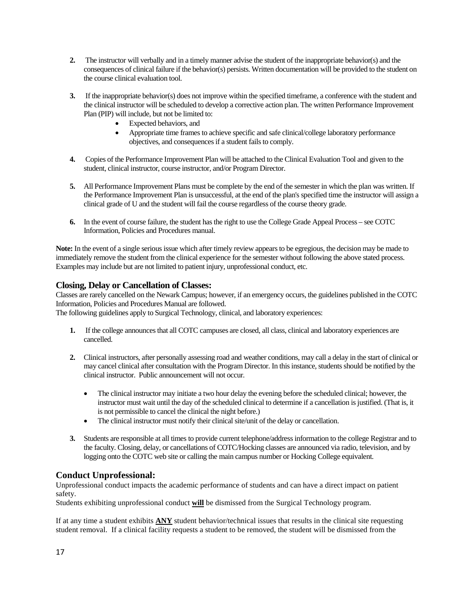- **2.** The instructor will verbally and in a timely manner advise the student of the inappropriate behavior(s) and the consequences of clinical failure if the behavior(s) persists. Written documentation will be provided to the student on the course clinical evaluation tool.
- **3.** If the inappropriate behavior(s) does not improve within the specified timeframe, a conference with the student and the clinical instructor will be scheduled to develop a corrective action plan. The written Performance Improvement Plan (PIP) will include, but not be limited to:
	- Expected behaviors, and
	- Appropriate time frames to achieve specific and safe clinical/college laboratory performance objectives, and consequences if a student fails to comply.
- **4.** Copies of the Performance Improvement Plan will be attached to the Clinical Evaluation Tool and given to the student, clinical instructor, course instructor, and/or Program Director.
- **5.** All Performance Improvement Plans must be complete by the end of the semester in which the plan was written. If the Performance Improvement Plan is unsuccessful, at the end of the plan's specified time the instructor will assign a clinical grade of U and the student will fail the course regardless of the course theory grade.
- **6.** In the event of course failure, the student has the right to use the College Grade Appeal Process see COTC Information, Policies and Procedures manual.

**Note:** In the event of a single serious issue which after timely review appears to be egregious, the decision may be made to immediately remove the student from the clinical experience for the semester without following the above stated process. Examples may include but are not limited to patient injury, unprofessional conduct, etc.

# **Closing, Delay or Cancellation of Classes:**

Classes are rarely cancelled on the Newark Campus; however, if an emergency occurs, the guidelines published in the COTC Information, Policies and Procedures Manual are followed.

The following guidelines apply to Surgical Technology, clinical, and laboratory experiences:

- **1.** If the college announces that all COTC campuses are closed, all class, clinical and laboratory experiences are cancelled.
- **2.** Clinical instructors, after personally assessing road and weather conditions, may call a delay in the start of clinical or may cancel clinical after consultation with the Program Director. In this instance, students should be notified by the clinical instructor. Public announcement will not occur.
	- The clinical instructor may initiate a two hour delay the evening before the scheduled clinical; however, the instructor must wait until the day of the scheduled clinical to determine if a cancellation is justified. (That is, it is not permissible to cancel the clinical the night before.)
	- The clinical instructor must notify their clinical site/unit of the delay or cancellation.
- **3.** Students are responsible at all times to provide current telephone/address information to the college Registrar and to the faculty. Closing, delay, or cancellations of COTC/Hocking classes are announced via radio, television, and by logging onto the COTC web site or calling the main campus number or Hocking College equivalent.

# **Conduct Unprofessional:**

Unprofessional conduct impacts the academic performance of students and can have a direct impact on patient safety.

Students exhibiting unprofessional conduct **will** be dismissed from the Surgical Technology program.

If at any time a student exhibits **ANY** student behavior/technical issues that results in the clinical site requesting student removal. If a clinical facility requests a student to be removed, the student will be dismissed from the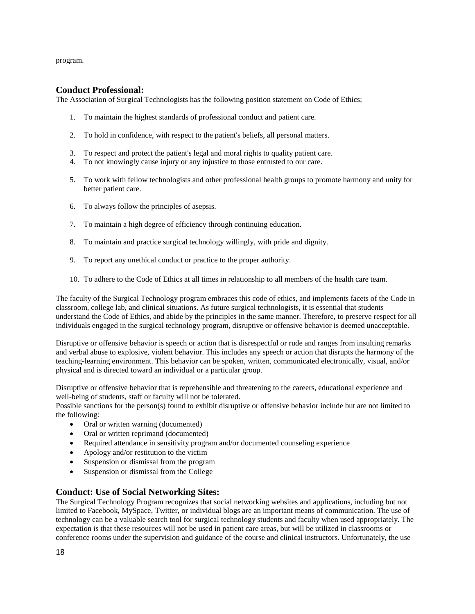program.

## **Conduct Professional:**

The Association of Surgical Technologists has the following position statement on Code of Ethics;

- 1. To maintain the highest standards of professional conduct and patient care.
- 2. To hold in confidence, with respect to the patient's beliefs, all personal matters.
- 3. To respect and protect the patient's legal and moral rights to quality patient care.
- 4. To not knowingly cause injury or any injustice to those entrusted to our care.
- 5. To work with fellow technologists and other professional health groups to promote harmony and unity for better patient care.
- 6. To always follow the principles of asepsis.
- 7. To maintain a high degree of efficiency through continuing education.
- 8. To maintain and practice surgical technology willingly, with pride and dignity.
- 9. To report any unethical conduct or practice to the proper authority.
- 10. To adhere to the Code of Ethics at all times in relationship to all members of the health care team.

The faculty of the Surgical Technology program embraces this code of ethics, and implements facets of the Code in classroom, college lab, and clinical situations. As future surgical technologists, it is essential that students understand the Code of Ethics, and abide by the principles in the same manner. Therefore, to preserve respect for all individuals engaged in the surgical technology program, disruptive or offensive behavior is deemed unacceptable.

Disruptive or offensive behavior is speech or action that is disrespectful or rude and ranges from insulting remarks and verbal abuse to explosive, violent behavior. This includes any speech or action that disrupts the harmony of the teaching-learning environment. This behavior can be spoken, written, communicated electronically, visual, and/or physical and is directed toward an individual or a particular group.

Disruptive or offensive behavior that is reprehensible and threatening to the careers, educational experience and well-being of students, staff or faculty will not be tolerated.

Possible sanctions for the person(s) found to exhibit disruptive or offensive behavior include but are not limited to the following:

- Oral or written warning (documented)
- Oral or written reprimand (documented)
- Required attendance in sensitivity program and/or documented counseling experience
- Apology and/or restitution to the victim
- Suspension or dismissal from the program
- Suspension or dismissal from the College

# **Conduct: Use of Social Networking Sites:**

The Surgical Technology Program recognizes that social networking websites and applications, including but not limited to Facebook, MySpace, Twitter, or individual blogs are an important means of communication. The use of technology can be a valuable search tool for surgical technology students and faculty when used appropriately. The expectation is that these resources will not be used in patient care areas, but will be utilized in classrooms or conference rooms under the supervision and guidance of the course and clinical instructors. Unfortunately, the use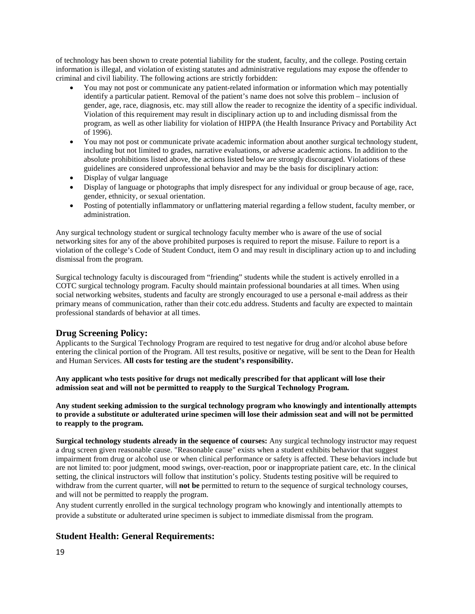of technology has been shown to create potential liability for the student, faculty, and the college. Posting certain information is illegal, and violation of existing statutes and administrative regulations may expose the offender to criminal and civil liability. The following actions are strictly forbidden:

- You may not post or communicate any patient-related information or information which may potentially identify a particular patient. Removal of the patient's name does not solve this problem – inclusion of gender, age, race, diagnosis, etc. may still allow the reader to recognize the identity of a specific individual. Violation of this requirement may result in disciplinary action up to and including dismissal from the program, as well as other liability for violation of HIPPA (the Health Insurance Privacy and Portability Act of 1996).
- You may not post or communicate private academic information about another surgical technology student, including but not limited to grades, narrative evaluations, or adverse academic actions. In addition to the absolute prohibitions listed above, the actions listed below are strongly discouraged. Violations of these guidelines are considered unprofessional behavior and may be the basis for disciplinary action:
- Display of vulgar language
- Display of language or photographs that imply disrespect for any individual or group because of age, race, gender, ethnicity, or sexual orientation.
- Posting of potentially inflammatory or unflattering material regarding a fellow student, faculty member, or administration.

Any surgical technology student or surgical technology faculty member who is aware of the use of social networking sites for any of the above prohibited purposes is required to report the misuse. Failure to report is a violation of the college's Code of Student Conduct, item O and may result in disciplinary action up to and including dismissal from the program.

Surgical technology faculty is discouraged from "friending" students while the student is actively enrolled in a COTC surgical technology program. Faculty should maintain professional boundaries at all times. When using social networking websites, students and faculty are strongly encouraged to use a personal e-mail address as their primary means of communication, rather than their cotc.edu address. Students and faculty are expected to maintain professional standards of behavior at all times.

# **Drug Screening Policy:**

Applicants to the Surgical Technology Program are required to test negative for drug and/or alcohol abuse before entering the clinical portion of the Program. All test results, positive or negative, will be sent to the Dean for Health and Human Services. **All costs for testing are the student's responsibility.** 

**Any applicant who tests positive for drugs not medically prescribed for that applicant will lose their admission seat and will not be permitted to reapply to the Surgical Technology Program.**

**Any student seeking admission to the surgical technology program who knowingly and intentionally attempts to provide a substitute or adulterated urine specimen will lose their admission seat and will not be permitted to reapply to the program.**

**Surgical technology students already in the sequence of courses:** Any surgical technology instructor may request a drug screen given reasonable cause. "Reasonable cause" exists when a student exhibits behavior that suggest impairment from drug or alcohol use or when clinical performance or safety is affected. These behaviors include but are not limited to: poor judgment, mood swings, over-reaction, poor or inappropriate patient care, etc. In the clinical setting, the clinical instructors will follow that institution's policy. Students testing positive will be required to withdraw from the current quarter, will **not be** permitted to return to the sequence of surgical technology courses, and will not be permitted to reapply the program.

Any student currently enrolled in the surgical technology program who knowingly and intentionally attempts to provide a substitute or adulterated urine specimen is subject to immediate dismissal from the program.

# **Student Health: General Requirements:**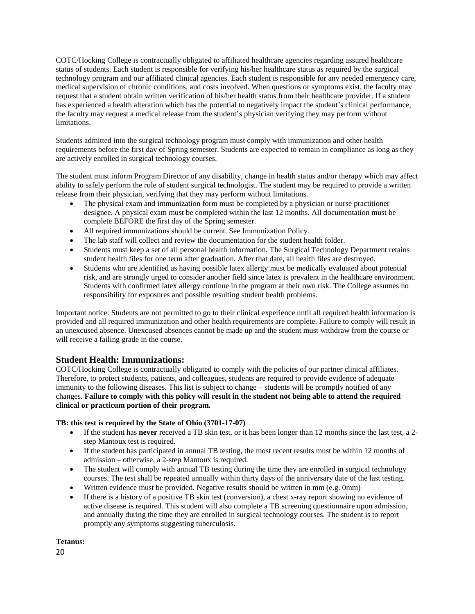COTC/Hocking College is contractually obligated to affiliated healthcare agencies regarding assured healthcare status of students. Each student is responsible for verifying his/her healthcare status as required by the surgical technology program and our affiliated clinical agencies. Each student is responsible for any needed emergency care, medical supervision of chronic conditions, and costs involved. When questions or symptoms exist, the faculty may request that a student obtain written verification of his/her health status from their healthcare provider. If a student has experienced a health alteration which has the potential to negatively impact the student's clinical performance, the faculty may request a medical release from the student's physician verifying they may perform without limitations.

Students admitted into the surgical technology program must comply with immunization and other health requirements before the first day of Spring semester. Students are expected to remain in compliance as long as they are actively enrolled in surgical technology courses.

The student must inform Program Director of any disability, change in health status and/or therapy which may affect ability to safely perform the role of student surgical technologist. The student may be required to provide a written release from their physician, verifying that they may perform without limitations.

- The physical exam and immunization form must be completed by a physician or nurse practitioner designee. A physical exam must be completed within the last 12 months. All documentation must be complete BEFORE the first day of the Spring semester.
- All required immunizations should be current. See Immunization Policy.
- The lab staff will collect and review the documentation for the student health folder.
- Students must keep a set of all personal health information. The Surgical Technology Department retains student health files for one term after graduation. After that date, all health files are destroyed.
- Students who are identified as having possible latex allergy must be medically evaluated about potential risk, and are strongly urged to consider another field since latex is prevalent in the healthcare environment. Students with confirmed latex allergy continue in the program at their own risk. The College assumes no responsibility for exposures and possible resulting student health problems.

Important notice: Students are not permitted to go to their clinical experience until all required health information is provided and all required immunization and other health requirements are complete. Failure to comply will result in an unexcused absence. Unexcused absences cannot be made up and the student must withdraw from the course or will receive a failing grade in the course.

# **Student Health: Immunizations:**

COTC/Hocking College is contractually obligated to comply with the policies of our partner clinical affiliates. Therefore, to protect students, patients, and colleagues, students are required to provide evidence of adequate immunity to the following diseases. This list is subject to change – students will be promptly notified of any changes. **Failure to comply with this policy will result in the student not being able to attend the required clinical or practicum portion of their program.** 

### **TB: this test is required by the State of Ohio (3701-17-07)**

- If the student has **never** received a TB skin test, or it has been longer than 12 months since the last test, a 2 step Mantoux test is required.
- If the student has participated in annual TB testing, the most recent results must be within 12 months of admission – otherwise, a 2-step Mantoux is required.
- The student will comply with annual TB testing during the time they are enrolled in surgical technology courses. The test shall be repeated annually within thirty days of the anniversary date of the last testing.
- Written evidence must be provided. Negative results should be written in mm (e.g. 0mm)
- If there is a history of a positive TB skin test (conversion), a chest x-ray report showing no evidence of active disease is required. This student will also complete a TB screening questionnaire upon admission, and annually during the time they are enrolled in surgical technology courses. The student is to report promptly any symptoms suggesting tuberculosis.

**Tetanus:** 

20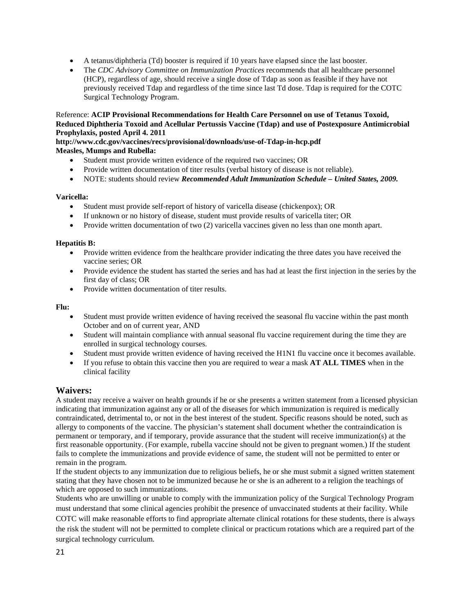- A tetanus/diphtheria (Td) booster is required if 10 years have elapsed since the last booster.
- The *CDC Advisory Committee on Immunization Practices* recommends that all healthcare personnel (HCP), regardless of age, should receive a single dose of Tdap as soon as feasible if they have not previously received Tdap and regardless of the time since last Td dose. Tdap is required for the COTC Surgical Technology Program.

### Reference: **ACIP Provisional Recommendations for Health Care Personnel on use of Tetanus Toxoid, Reduced Diphtheria Toxoid and Acellular Pertussis Vaccine (Tdap) and use of Postexposure Antimicrobial Prophylaxis, posted April 4. 2011**

## **http://www.cdc.gov/vaccines/recs/provisional/downloads/use-of-Tdap-in-hcp.pdf Measles, Mumps and Rubella:**

- Student must provide written evidence of the required two vaccines; OR
- Provide written documentation of titer results (verbal history of disease is not reliable).
- NOTE: students should review *Recommended Adult Immunization Schedule – United States, 2009.*

### **Varicella:**

- Student must provide self-report of history of varicella disease (chickenpox); OR
- If unknown or no history of disease, student must provide results of varicella titer; OR
- Provide written documentation of two (2) varicella vaccines given no less than one month apart.

### **Hepatitis B:**

- Provide written evidence from the healthcare provider indicating the three dates you have received the vaccine series; OR
- Provide evidence the student has started the series and has had at least the first injection in the series by the first day of class; OR
- Provide written documentation of titer results.

### **Flu:**

- Student must provide written evidence of having received the seasonal flu vaccine within the past month October and on of current year, AND
- Student will maintain compliance with annual seasonal flu vaccine requirement during the time they are enrolled in surgical technology courses.
- Student must provide written evidence of having received the H1N1 flu vaccine once it becomes available.
- If you refuse to obtain this vaccine then you are required to wear a mask **AT ALL TIMES** when in the clinical facility

# **Waivers:**

A student may receive a waiver on health grounds if he or she presents a written statement from a licensed physician indicating that immunization against any or all of the diseases for which immunization is required is medically contraindicated, detrimental to, or not in the best interest of the student. Specific reasons should be noted, such as allergy to components of the vaccine. The physician's statement shall document whether the contraindication is permanent or temporary, and if temporary, provide assurance that the student will receive immunization(s) at the first reasonable opportunity. (For example, rubella vaccine should not be given to pregnant women.) If the student fails to complete the immunizations and provide evidence of same, the student will not be permitted to enter or remain in the program.

If the student objects to any immunization due to religious beliefs, he or she must submit a signed written statement stating that they have chosen not to be immunized because he or she is an adherent to a religion the teachings of which are opposed to such immunizations.

Students who are unwilling or unable to comply with the immunization policy of the Surgical Technology Program must understand that some clinical agencies prohibit the presence of unvaccinated students at their facility. While COTC will make reasonable efforts to find appropriate alternate clinical rotations for these students, there is always the risk the student will not be permitted to complete clinical or practicum rotations which are a required part of the surgical technology curriculum.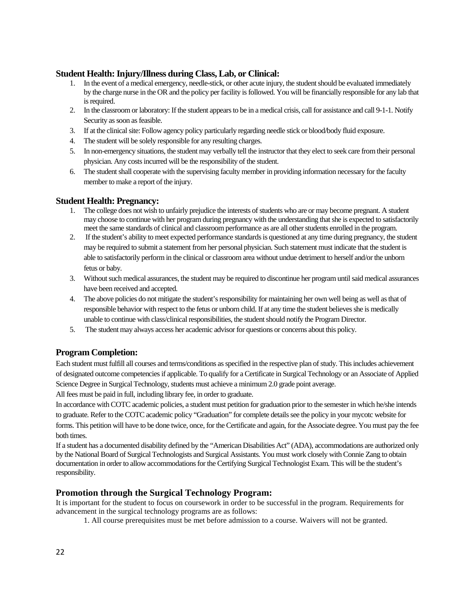# **Student Health: Injury/Illness during Class, Lab, or Clinical:**

- 1. In the event of a medical emergency, needle-stick, or other acute injury, the student should be evaluated immediately by the charge nurse in the OR and the policy per facility is followed. You will be financially responsible for any lab that is required.
- 2. In the classroom or laboratory: If the student appears to be in a medical crisis, call for assistance and call 9-1-1. Notify Security as soon as feasible.
- 3. If at the clinical site: Follow agency policy particularly regarding needle stick or blood/body fluid exposure.
- 4. The student will be solely responsible for any resulting charges.
- 5. In non-emergency situations, the student may verbally tell the instructor that they elect to seek care from their personal physician. Any costs incurred will be the responsibility of the student.
- 6. The student shall cooperate with the supervising faculty member in providing information necessary for the faculty member to make a report of the injury.

# **Student Health: Pregnancy:**

- 1. The college does not wish to unfairly prejudice the interests of students who are or may become pregnant. A student may choose to continue with her program during pregnancy with the understanding that she is expected to satisfactorily meet the same standards of clinical and classroom performance as are all other students enrolled in the program.
- 2. If the student's ability to meet expected performance standards is questioned at any time during pregnancy, the student may be required to submit a statement from her personal physician. Such statement must indicate that the student is able to satisfactorily perform in the clinical or classroom area without undue detriment to herself and/or the unborn fetus or baby.
- 3. Without such medical assurances, the student may be required to discontinue her program until said medical assurances have been received and accepted.
- 4. The above policies do not mitigate the student's responsibility for maintaining her own well being as well as that of responsible behavior with respect to the fetus or unborn child. If at any time the student believes she is medically unable to continue with class/clinical responsibilities, the student should notify the Program Director.
- 5. The student may always access her academic advisor for questions or concerns about this policy.

# **Program Completion:**

Each student must fulfill all courses and terms/conditions as specified in the respective plan of study. This includes achievement of designated outcome competencies if applicable. To qualify for a Certificate in Surgical Technology or an Associate of Applied Science Degree in Surgical Technology, students must achieve a minimum 2.0 grade point average.

All fees must be paid in full, including library fee, in order to graduate.

In accordance with COTC academic policies, a student must petition for graduation prior to the semester in which he/she intends to graduate. Refer to the COTC academic policy "Graduation" for complete details see the policy in your mycotc website for forms. This petition will have to be done twice, once, for the Certificate and again, for the Associate degree. You must pay the fee both times.

If a student has a documented disability defined by the "American Disabilities Act" (ADA), accommodations are authorized only by the National Board of Surgical Technologists and Surgical Assistants. You must work closely with Connie Zang to obtain documentation in order to allow accommodations for the Certifying Surgical Technologist Exam. This will be the student's responsibility.

# **Promotion through the Surgical Technology Program:**

It is important for the student to focus on coursework in order to be successful in the program. Requirements for advancement in the surgical technology programs are as follows:

1. All course prerequisites must be met before admission to a course. Waivers will not be granted.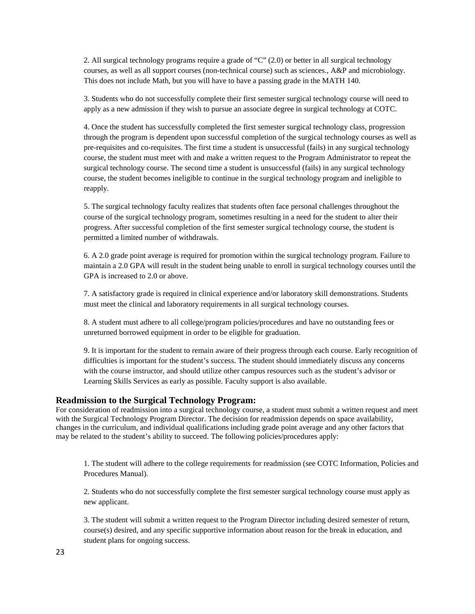2. All surgical technology programs require a grade of "C" (2.0) or better in all surgical technology courses, as well as all support courses (non-technical course) such as sciences., A&P and microbiology. This does not include Math, but you will have to have a passing grade in the MATH 140.

3. Students who do not successfully complete their first semester surgical technology course will need to apply as a new admission if they wish to pursue an associate degree in surgical technology at COTC.

4. Once the student has successfully completed the first semester surgical technology class, progression through the program is dependent upon successful completion of the surgical technology courses as well as pre-requisites and co-requisites. The first time a student is unsuccessful (fails) in any surgical technology course, the student must meet with and make a written request to the Program Administrator to repeat the surgical technology course. The second time a student is unsuccessful (fails) in any surgical technology course, the student becomes ineligible to continue in the surgical technology program and ineligible to reapply.

5. The surgical technology faculty realizes that students often face personal challenges throughout the course of the surgical technology program, sometimes resulting in a need for the student to alter their progress. After successful completion of the first semester surgical technology course, the student is permitted a limited number of withdrawals.

6. A 2.0 grade point average is required for promotion within the surgical technology program. Failure to maintain a 2.0 GPA will result in the student being unable to enroll in surgical technology courses until the GPA is increased to 2.0 or above.

7. A satisfactory grade is required in clinical experience and/or laboratory skill demonstrations. Students must meet the clinical and laboratory requirements in all surgical technology courses.

8. A student must adhere to all college/program policies/procedures and have no outstanding fees or unreturned borrowed equipment in order to be eligible for graduation.

9. It is important for the student to remain aware of their progress through each course. Early recognition of difficulties is important for the student's success. The student should immediately discuss any concerns with the course instructor, and should utilize other campus resources such as the student's advisor or Learning Skills Services as early as possible. Faculty support is also available.

#### **Readmission to the Surgical Technology Program:**

For consideration of readmission into a surgical technology course, a student must submit a written request and meet with the Surgical Technology Program Director. The decision for readmission depends on space availability, changes in the curriculum, and individual qualifications including grade point average and any other factors that may be related to the student's ability to succeed. The following policies/procedures apply:

1. The student will adhere to the college requirements for readmission (see COTC Information, Policies and Procedures Manual).

2. Students who do not successfully complete the first semester surgical technology course must apply as new applicant.

3. The student will submit a written request to the Program Director including desired semester of return, course(s) desired, and any specific supportive information about reason for the break in education, and student plans for ongoing success.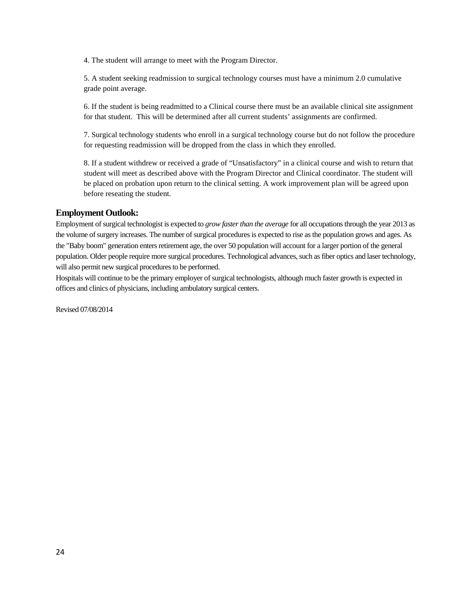4. The student will arrange to meet with the Program Director.

5. A student seeking readmission to surgical technology courses must have a minimum 2.0 cumulative grade point average.

6. If the student is being readmitted to a Clinical course there must be an available clinical site assignment for that student. This will be determined after all current students' assignments are confirmed.

7. Surgical technology students who enroll in a surgical technology course but do not follow the procedure for requesting readmission will be dropped from the class in which they enrolled.

8. If a student withdrew or received a grade of "Unsatisfactory" in a clinical course and wish to return that student will meet as described above with the Program Director and Clinical coordinator. The student will be placed on probation upon return to the clinical setting. A work improvement plan will be agreed upon before reseating the student.

### **Employment Outlook:**

Employment of surgical technologist is expected to *grow faster than the average* for all occupations through the year 2013 as the volume of surgery increases. The number of surgical procedures is expected to rise as the population grows and ages. As the "Baby boom" generation enters retirement age, the over 50 population will account for a larger portion of the general population. Older people require more surgical procedures. Technological advances, such as fiber optics and laser technology, will also permit new surgical procedures to be performed.

Hospitals will continue to be the primary employer of surgical technologists, although much faster growth is expected in offices and clinics of physicians, including ambulatory surgical centers.

Revised 07/08/2014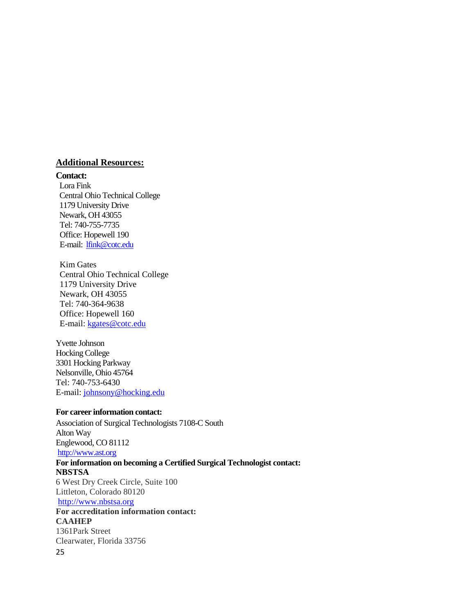# **Additional Resources:**

### **Contact:**

Lora Fink Central Ohio Technical College 1179 University Drive Newark, OH 43055 Tel: 740-755-7735 Office: Hopewell 190 E-mail: [lfink@cotc.edu](mailto:lfink@cotc.edu)

Kim Gates Central Ohio Technical College 1179 University Drive Newark, OH 43055 Tel: 740-364-9638 Office: Hopewell 160 E-mail: [kgates@cotc.edu](mailto:kgates@cotc.edu)

Yvette Johnson Hocking College 3301 Hocking Parkway Nelsonville, Ohio 45764 Tel: 740-753-6430 E-mail[: johnsony@hocking.edu](mailto:johnsony@hocking.edu)

# **For career information contact:**

25 Association of Surgical Technologists 7108-C South Alton Way Englewood, CO 81112 [http://www.ast.org](http://www.ast.org/) **For information on becoming a Certified Surgical Technologist contact: NBSTSA**  6 West Dry Creek Circle, Suite 100 Littleton, Colorado 80120 [http://www.nbstsa.org](http://www.nbstsa.org/) **For accreditation information contact: CAAHEP** 1361Park Street Clearwater, Florida 33756